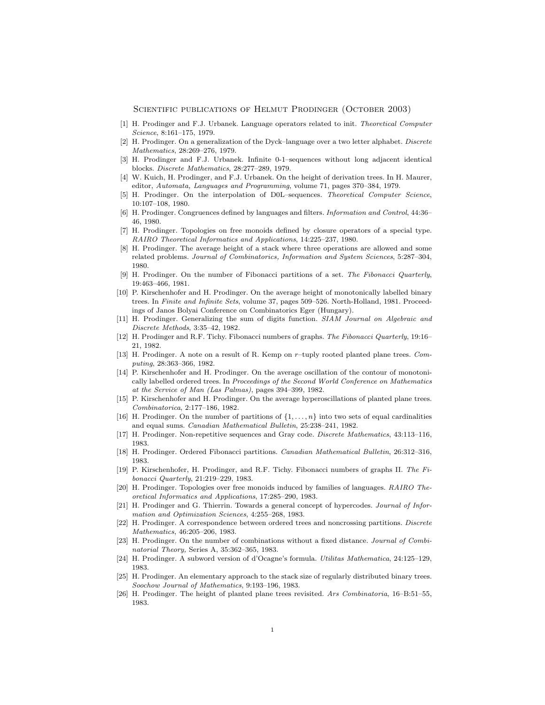SCIENTIFIC PUBLICATIONS OF HELMUT PRODINGER (OCTOBER 2003)

- [1] H. Prodinger and F.J. Urbanek. Language operators related to init. Theoretical Computer Science, 8:161–175, 1979.
- [2] H. Prodinger. On a generalization of the Dyck–language over a two letter alphabet. Discrete Mathematics, 28:269–276, 1979.
- [3] H. Prodinger and F.J. Urbanek. Infinite 0-1–sequences without long adjacent identical blocks. Discrete Mathematics, 28:277–289, 1979.
- [4] W. Kuich, H. Prodinger, and F.J. Urbanek. On the height of derivation trees. In H. Maurer, editor, Automata, Languages and Programming, volume 71, pages 370–384, 1979.
- [5] H. Prodinger. On the interpolation of D0L–sequences. Theoretical Computer Science, 10:107–108, 1980.
- [6] H. Prodinger. Congruences defined by languages and filters. Information and Control, 44:36– 46, 1980.
- [7] H. Prodinger. Topologies on free monoids defined by closure operators of a special type. RAIRO Theoretical Informatics and Applications, 14:225–237, 1980.
- [8] H. Prodinger. The average height of a stack where three operations are allowed and some related problems. Journal of Combinatorics, Information and System Sciences, 5:287–304, 1980.
- [9] H. Prodinger. On the number of Fibonacci partitions of a set. The Fibonacci Quarterly, 19:463–466, 1981.
- [10] P. Kirschenhofer and H. Prodinger. On the average height of monotonically labelled binary trees. In Finite and Infinite Sets, volume 37, pages 509–526. North-Holland, 1981. Proceedings of Janos Bolyai Conference on Combinatorics Eger (Hungary).
- [11] H. Prodinger. Generalizing the sum of digits function. SIAM Journal on Algebraic and Discrete Methods, 3:35–42, 1982.
- [12] H. Prodinger and R.F. Tichy. Fibonacci numbers of graphs. The Fibonacci Quarterly, 19:16– 21, 1982.
- [13] H. Prodinger. A note on a result of R. Kemp on r–tuply rooted planted plane trees. Computing, 28:363–366, 1982.
- [14] P. Kirschenhofer and H. Prodinger. On the average oscillation of the contour of monotonically labelled ordered trees. In Proceedings of the Second World Conference on Mathematics at the Service of Man (Las Palmas), pages 394–399, 1982.
- [15] P. Kirschenhofer and H. Prodinger. On the average hyperoscillations of planted plane trees. Combinatorica, 2:177–186, 1982.
- [16] H. Prodinger. On the number of partitions of  $\{1, \ldots, n\}$  into two sets of equal cardinalities and equal sums. Canadian Mathematical Bulletin, 25:238–241, 1982.
- [17] H. Prodinger. Non-repetitive sequences and Gray code. Discrete Mathematics, 43:113–116, 1983.
- [18] H. Prodinger. Ordered Fibonacci partitions. Canadian Mathematical Bulletin, 26:312–316, 1983.
- [19] P. Kirschenhofer, H. Prodinger, and R.F. Tichy. Fibonacci numbers of graphs II. The Fibonacci Quarterly, 21:219–229, 1983.
- [20] H. Prodinger. Topologies over free monoids induced by families of languages. RAIRO Theoretical Informatics and Applications, 17:285–290, 1983.
- [21] H. Prodinger and G. Thierrin. Towards a general concept of hypercodes. Journal of Information and Optimization Sciences, 4:255–268, 1983.
- [22] H. Prodinger. A correspondence between ordered trees and noncrossing partitions. Discrete Mathematics, 46:205–206, 1983.
- [23] H. Prodinger. On the number of combinations without a fixed distance. Journal of Combinatorial Theory, Series A, 35:362–365, 1983.
- [24] H. Prodinger. A subword version of d'Ocagne's formula. Utilitas Mathematica, 24:125–129, 1983.
- [25] H. Prodinger. An elementary approach to the stack size of regularly distributed binary trees. Soochow Journal of Mathematics, 9:193–196, 1983.
- [26] H. Prodinger. The height of planted plane trees revisited. Ars Combinatoria, 16–B:51–55, 1983.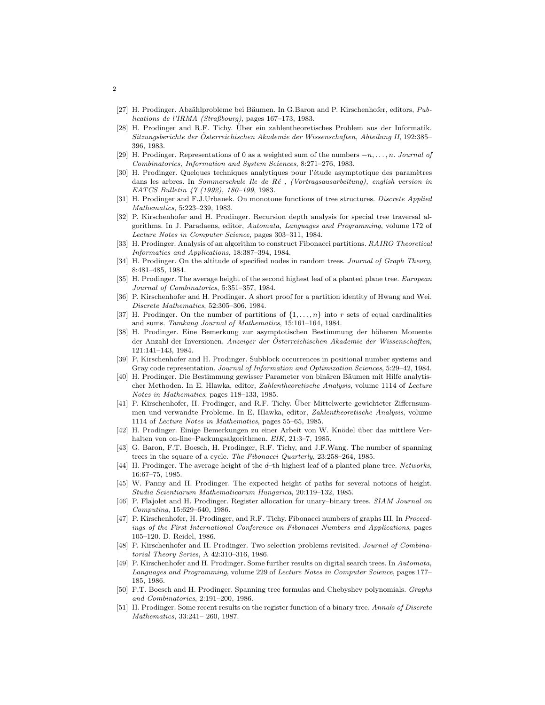- [27] H. Prodinger. Abzählprobleme bei Bäumen. In G.Baron and P. Kirschenhofer, editors, Publications de l'IRMA (Straßbourg), pages 167–173, 1983.
- [28] H. Prodinger and R.F. Tichy. Über ein zahlentheoretisches Problem aus der Informatik. Sitzungsberichte der Österreichischen Akademie der Wissenschaften, Abteilung II, 192:385– 396, 1983.
- [29] H. Prodinger. Representations of 0 as a weighted sum of the numbers  $-n, \ldots, n$ . Journal of Combinatorics, Information and System Sciences, 8:271–276, 1983.
- [30] H. Prodinger. Quelques techniques analytiques pour l'étude asymptotique des paramètres dans les arbres. In Sommerschule Ile de Ré, (Vortragsausarbeitung), english version in EATCS Bulletin 47 (1992), 180–199, 1983.
- [31] H. Prodinger and F.J.Urbanek. On monotone functions of tree structures. Discrete Applied Mathematics, 5:223–239, 1983.
- [32] P. Kirschenhofer and H. Prodinger. Recursion depth analysis for special tree traversal algorithms. In J. Paradaens, editor, Automata, Languages and Programming, volume 172 of Lecture Notes in Computer Science, pages 303–311, 1984.
- [33] H. Prodinger. Analysis of an algorithm to construct Fibonacci partitions. RAIRO Theoretical Informatics and Applications, 18:387–394, 1984.
- [34] H. Prodinger. On the altitude of specified nodes in random trees. Journal of Graph Theory, 8:481–485, 1984.
- [35] H. Prodinger. The average height of the second highest leaf of a planted plane tree. European Journal of Combinatorics, 5:351–357, 1984.
- [36] P. Kirschenhofer and H. Prodinger. A short proof for a partition identity of Hwang and Wei. Discrete Mathematics, 52:305–306, 1984.
- [37] H. Prodinger. On the number of partitions of  $\{1, \ldots, n\}$  into r sets of equal cardinalities and sums. Tamkang Journal of Mathematics, 15:161–164, 1984.
- [38] H. Prodinger. Eine Bemerkung zur asymptotischen Bestimmung der höheren Momente der Anzahl der Inversionen. Anzeiger der Österreichischen Akademie der Wissenschaften, 121:141–143, 1984.
- [39] P. Kirschenhofer and H. Prodinger. Subblock occurrences in positional number systems and Gray code representation. Journal of Information and Optimization Sciences, 5:29–42, 1984.
- [40] H. Prodinger. Die Bestimmung gewisser Parameter von binären Bäumen mit Hilfe analytischer Methoden. In E. Hlawka, editor, Zahlentheoretische Analysis, volume 1114 of Lecture Notes in Mathematics, pages 118–133, 1985.
- [41] P. Kirschenhofer, H. Prodinger, and R.F. Tichy. Uber Mittelwerte gewichteter Ziffernsummen und verwandte Probleme. In E. Hlawka, editor, Zahlentheoretische Analysis, volume 1114 of Lecture Notes in Mathematics, pages 55–65, 1985.
- [42] H. Prodinger. Einige Bemerkungen zu einer Arbeit von W. Knödel über das mittlere Verhalten von on-line–Packungsalgorithmen. EIK, 21:3–7, 1985.
- [43] G. Baron, F.T. Boesch, H. Prodinger, R.F. Tichy, and J.F.Wang. The number of spanning trees in the square of a cycle. The Fibonacci Quarterly, 23:258–264, 1985.
- [44] H. Prodinger. The average height of the d–th highest leaf of a planted plane tree. Networks, 16:67–75, 1985.
- [45] W. Panny and H. Prodinger. The expected height of paths for several notions of height. Studia Scientiarum Mathematicarum Hungarica, 20:119–132, 1985.
- [46] P. Flajolet and H. Prodinger. Register allocation for unary–binary trees. SIAM Journal on Computing, 15:629–640, 1986.
- [47] P. Kirschenhofer, H. Prodinger, and R.F. Tichy. Fibonacci numbers of graphs III. In Proceedings of the First International Conference on Fibonacci Numbers and Applications, pages 105–120. D. Reidel, 1986.
- [48] P. Kirschenhofer and H. Prodinger. Two selection problems revisited. Journal of Combinatorial Theory Series, A 42:310–316, 1986.
- [49] P. Kirschenhofer and H. Prodinger. Some further results on digital search trees. In Automata, Languages and Programming, volume 229 of Lecture Notes in Computer Science, pages 177– 185, 1986.
- [50] F.T. Boesch and H. Prodinger. Spanning tree formulas and Chebyshev polynomials. Graphs and Combinatorics, 2:191–200, 1986.
- [51] H. Prodinger. Some recent results on the register function of a binary tree. Annals of Discrete Mathematics, 33:241– 260, 1987.

2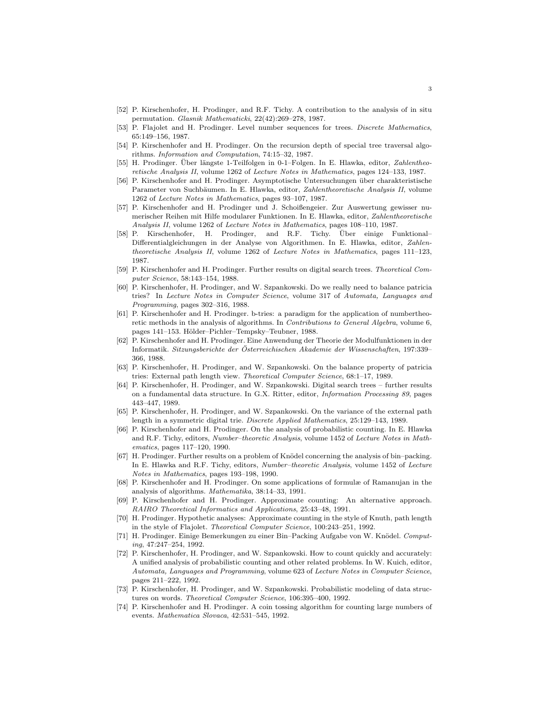- [52] P. Kirschenhofer, H. Prodinger, and R.F. Tichy. A contribution to the analysis of in situ permutation. Glasnik Mathematicki, 22(42):269–278, 1987.
- [53] P. Flajolet and H. Prodinger. Level number sequences for trees. Discrete Mathematics, 65:149–156, 1987.
- [54] P. Kirschenhofer and H. Prodinger. On the recursion depth of special tree traversal algorithms. Information and Computation, 74:15–32, 1987.
- [55] H. Prodinger. Uber längste 1-Teilfolgen in 0-1–Folgen. In E. Hlawka, editor, Zahlentheoretische Analysis II, volume 1262 of Lecture Notes in Mathematics, pages 124–133, 1987.
- [56] P. Kirschenhofer and H. Prodinger. Asymptotische Untersuchungen über charakteristische Parameter von Suchbäumen. In E. Hlawka, editor, Zahlentheoretische Analysis II, volume 1262 of Lecture Notes in Mathematics, pages 93–107, 1987.
- [57] P. Kirschenhofer and H. Prodinger und J. Schoißengeier. Zur Auswertung gewisser numerischer Reihen mit Hilfe modularer Funktionen. In E. Hlawka, editor, Zahlentheoretische Analysis II, volume 1262 of Lecture Notes in Mathematics, pages 108–110, 1987.
- [58] P. Kirschenhofer, H. Prodinger, and R.F. Tichy. Über einige Funktional– Differentialgleichungen in der Analyse von Algorithmen. In E. Hlawka, editor, Zahlentheoretische Analysis II, volume 1262 of Lecture Notes in Mathematics, pages 111–123, 1987.
- [59] P. Kirschenhofer and H. Prodinger. Further results on digital search trees. Theoretical Computer Science, 58:143–154, 1988.
- [60] P. Kirschenhofer, H. Prodinger, and W. Szpankowski. Do we really need to balance patricia tries? In Lecture Notes in Computer Science, volume 317 of Automata, Languages and Programming, pages 302–316, 1988.
- [61] P. Kirschenhofer and H. Prodinger. b-tries: a paradigm for the application of numbertheoretic methods in the analysis of algorithms. In Contributions to General Algebra, volume 6, pages 141–153. Hölder–Pichler–Tempsky–Teubner, 1988.
- [62] P. Kirschenhofer and H. Prodinger. Eine Anwendung der Theorie der Modulfunktionen in der Informatik. Sitzungsberichte der Österreichischen Akademie der Wissenschaften, 197:339– 366, 1988.
- [63] P. Kirschenhofer, H. Prodinger, and W. Szpankowski. On the balance property of patricia tries: External path length view. Theoretical Computer Science, 68:1–17, 1989.
- [64] P. Kirschenhofer, H. Prodinger, and W. Szpankowski. Digital search trees further results on a fundamental data structure. In G.X. Ritter, editor, Information Processing 89, pages 443–447, 1989.
- [65] P. Kirschenhofer, H. Prodinger, and W. Szpankowski. On the variance of the external path length in a symmetric digital trie. Discrete Applied Mathematics, 25:129–143, 1989.
- [66] P. Kirschenhofer and H. Prodinger. On the analysis of probabilistic counting. In E. Hlawka and R.F. Tichy, editors, Number–theoretic Analysis, volume 1452 of Lecture Notes in Mathematics, pages 117–120, 1990.
- [67] H. Prodinger. Further results on a problem of Knödel concerning the analysis of bin–packing. In E. Hlawka and R.F. Tichy, editors, Number–theoretic Analysis, volume 1452 of Lecture Notes in Mathematics, pages 193–198, 1990.
- [68] P. Kirschenhofer and H. Prodinger. On some applications of formulæ of Ramanujan in the analysis of algorithms. Mathematika, 38:14–33, 1991.
- [69] P. Kirschenhofer and H. Prodinger. Approximate counting: An alternative approach. RAIRO Theoretical Informatics and Applications, 25:43–48, 1991.
- [70] H. Prodinger. Hypothetic analyses: Approximate counting in the style of Knuth, path length in the style of Flajolet. Theoretical Computer Science, 100:243–251, 1992.
- [71] H. Prodinger. Einige Bemerkungen zu einer Bin–Packing Aufgabe von W. Knödel. Computing, 47:247–254, 1992.
- [72] P. Kirschenhofer, H. Prodinger, and W. Szpankowski. How to count quickly and accurately: A unified analysis of probabilistic counting and other related problems. In W. Kuich, editor, Automata, Languages and Programming, volume 623 of Lecture Notes in Computer Science, pages 211–222, 1992.
- [73] P. Kirschenhofer, H. Prodinger, and W. Szpankowski. Probabilistic modeling of data structures on words. Theoretical Computer Science, 106:395–400, 1992.
- [74] P. Kirschenhofer and H. Prodinger. A coin tossing algorithm for counting large numbers of events. Mathematica Slovaca, 42:531–545, 1992.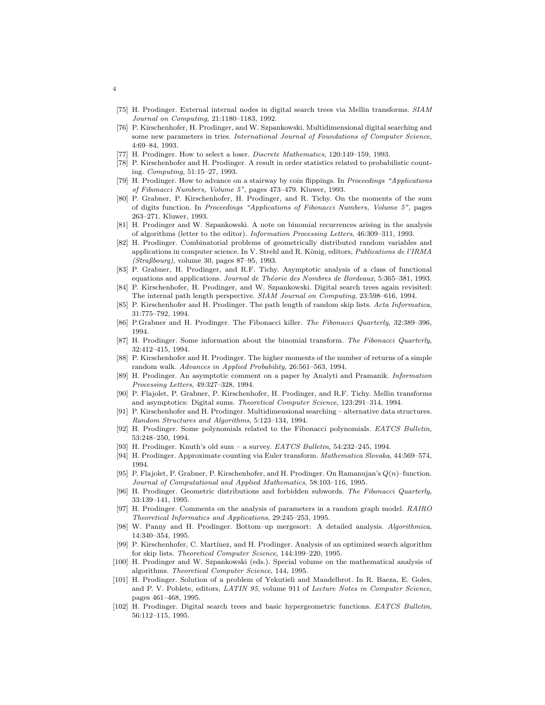- [75] H. Prodinger. External internal nodes in digital search trees via Mellin transforms. SIAM Journal on Computing, 21:1180–1183, 1992.
- [76] P. Kirschenhofer, H. Prodinger, and W. Szpankowski. Multidimensional digital searching and some new parameters in tries. International Journal of Foundations of Computer Science, 4:69–84, 1993.
- [77] H. Prodinger. How to select a loser. Discrete Mathematics, 120:149–159, 1993.
- [78] P. Kirschenhofer and H. Prodinger. A result in order statistics related to probabilistic counting. Computing, 51:15–27, 1993.
- [79] H. Prodinger. How to advance on a stairway by coin flippings. In Proceedings "Applications of Fibonacci Numbers, Volume 5", pages 473–479. Kluwer, 1993.
- [80] P. Grabner, P. Kirschenhofer, H. Prodinger, and R. Tichy. On the moments of the sum of digits function. In Proceedings "Applications of Fibonacci Numbers, Volume 5", pages 263–271. Kluwer, 1993.
- [81] H. Prodinger and W. Szpankowski. A note on binomial recurrences arising in the analysis of algorithms (letter to the editor). Information Processing Letters, 46:309–311, 1993.
- [82] H. Prodinger. Combinatorial problems of geometrically distributed random variables and applications in computer science. In V. Strehl and R. König, editors, Publications de l'IRMA (Straßbourg), volume 30, pages 87–95, 1993.
- [83] P. Grabner, H. Prodinger, and R.F. Tichy. Asymptotic analysis of a class of functional equations and applications. Journal de Théorie des Nombres de Bordeaux, 5:365–381, 1993.
- [84] P. Kirschenhofer, H. Prodinger, and W. Szpankowski. Digital search trees again revisited: The internal path length perspective. SIAM Journal on Computing, 23:598–616, 1994.
- [85] P. Kirschenhofer and H. Prodinger. The path length of random skip lists. Acta Informatica, 31:775–792, 1994.
- [86] P.Grabner and H. Prodinger. The Fibonacci killer. The Fibonacci Quarterly, 32:389–396, 1994.
- [87] H. Prodinger. Some information about the binomial transform. The Fibonacci Quarterly, 32:412–415, 1994.
- [88] P. Kirschenhofer and H. Prodinger. The higher moments of the number of returns of a simple random walk. Advances in Applied Probability, 26:561–563, 1994.
- [89] H. Prodinger. An asymptotic comment on a paper by Analyti and Pramanik. Information Processing Letters, 49:327–328, 1994.
- [90] P. Flajolet, P. Grabner, P. Kirschenhofer, H. Prodinger, and R.F. Tichy. Mellin transforms and asymptotics: Digital sums. Theoretical Computer Science, 123:291–314, 1994.
- [91] P. Kirschenhofer and H. Prodinger. Multidimensional searching alternative data structures. Random Structures and Algorithms, 5:123–134, 1994.
- [92] H. Prodinger. Some polynomials related to the Fibonacci polynomials. EATCS Bulletin, 53:248–250, 1994.
- [93] H. Prodinger. Knuth's old sum a survey. EATCS Bulletin, 54:232-245, 1994.
- [94] H. Prodinger. Approximate counting via Euler transform. Mathematica Slovaka, 44:569–574, 1994.
- [95] P. Flajolet, P. Grabner, P. Kirschenhofer, and H. Prodinger. On Ramanujan's  $Q(n)$ –function. Journal of Computational and Applied Mathematics, 58:103–116, 1995.
- [96] H. Prodinger. Geometric distributions and forbidden subwords. The Fibonacci Quarterly, 33:139–141, 1995.
- [97] H. Prodinger. Comments on the analysis of parameters in a random graph model. RAIRO Theoretical Informatics and Applications, 29:245–253, 1995.
- [98] W. Panny and H. Prodinger. Bottom–up mergesort: A detailed analysis. Algorithmica, 14:340–354, 1995.
- [99] P. Kirschenhofer, C. Martínez, and H. Prodinger. Analysis of an optimized search algorithm for skip lists. Theoretical Computer Science, 144:199–220, 1995.
- [100] H. Prodinger and W. Szpankowski (eds.). Special volume on the mathematical analysis of algorithms. Theoretical Computer Science, 144, 1995.
- [101] H. Prodinger. Solution of a problem of Yekutieli and Mandelbrot. In R. Baeza, E. Goles, and P. V. Poblete, editors, LATIN 95, volume 911 of Lecture Notes in Computer Science, pages 461–468, 1995.
- [102] H. Prodinger. Digital search trees and basic hypergeometric functions. EATCS Bulletin, 56:112–115, 1995.

4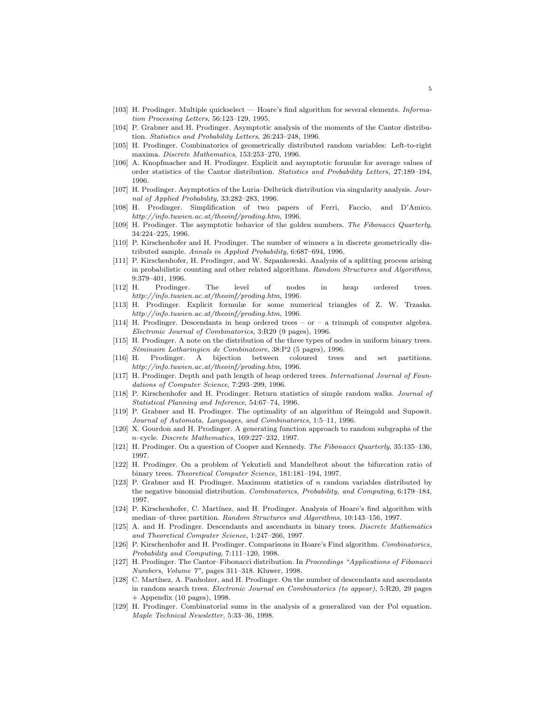- [103] H. Prodinger. Multiple quickselect Hoare's find algorithm for several elements. Information Processing Letters, 56:123–129, 1995.
- [104] P. Grabner and H. Prodinger. Asymptotic analysis of the moments of the Cantor distribution. Statistics and Probability Letters, 26:243–248, 1996.
- [105] H. Prodinger. Combinatorics of geometrically distributed random variables: Left-to-right maxima. Discrete Mathematics, 153:253–270, 1996.
- [106] A. Knopfmacher and H. Prodinger. Explicit and asymptotic formulæ for average values of order statistics of the Cantor distribution. Statistics and Probability Letters, 27:189–194, 1996.
- [107] H. Prodinger. Asymptotics of the Luria–Delbrück distribution via singularity analysis. Journal of Applied Probability, 33:282–283, 1996.
- [108] H. Prodinger. Simplification of two papers of Ferri, Faccio, and D'Amico. http://info.tuwien.ac.at/theoinf/proding.htm, 1996.
- [109] H. Prodinger. The asymptotic behavior of the golden numbers. The Fibonacci Quarterly, 34:224–225, 1996.
- [110] P. Kirschenhofer and H. Prodinger. The number of winners a in discrete geometrically distributed sample. Annals in Applied Probability, 6:687–694, 1996.
- [111] P. Kirschenhofer, H. Prodinger, and W. Szpankowski. Analysis of a splitting process arising in probabilistic counting and other related algorithms. Random Structures and Algorithms, 9:379–401, 1996.
- [112] H. Prodinger. The level of nodes in heap ordered trees. http://info.tuwien.ac.at/theoinf/proding.htm, 1996.
- [113] H. Prodinger. Explicit formulæ for some numerical triangles of Z. W. Trzaska. http://info.tuwien.ac.at/theoinf/proding.htm, 1996.
- [114] H. Prodinger. Descendants in heap ordered trees or a triumph of computer algebra. Electronic Journal of Combinatorics, 3:R29 (9 pages), 1996.
- [115] H. Prodinger. A note on the distribution of the three types of nodes in uniform binary trees. Séminaire Lotharingien de Combinatoire, 38:P2 (5 pages), 1996.
- [116] H. Prodinger. A bijection between coloured trees and set partitions. http://info.tuwien.ac.at/theoinf/proding.htm, 1996.
- [117] H. Prodinger. Depth and path length of heap ordered trees. International Journal of Foundations of Computer Science, 7:293–299, 1996.
- [118] P. Kirschenhofer and H. Prodinger. Return statistics of simple random walks. Journal of Statistical Planning and Inference, 54:67–74, 1996.
- [119] P. Grabner and H. Prodinger. The optimality of an algorithm of Reingold and Supowit. Journal of Automata, Languages, and Combinatorics, 1:5–11, 1996.
- [120] X. Gourdon and H. Prodinger. A generating function approach to random subgraphs of the n–cycle. Discrete Mathematics, 169:227–232, 1997.
- [121] H. Prodinger. On a question of Cooper and Kennedy. The Fibonacci Quarterly, 35:135–136, 1997.
- [122] H. Prodinger. On a problem of Yekutieli and Mandelbrot about the bifurcation ratio of binary trees. Theoretical Computer Science, 181:181–194, 1997.
- [123] P. Grabner and H. Prodinger. Maximum statistics of n random variables distributed by the negative binomial distribution. Combinatorics, Probability, and Computing, 6:179–184, 1997.
- [124] P. Kirschenhofer, C. Martínez, and H. Prodinger. Analysis of Hoare's find algorithm with median–of–three partition. Random Structures and Algorithms, 10:143–156, 1997.
- [125] A. and H. Prodinger. Descendants and ascendants in binary trees. Discrete Mathematics and Theoretical Computer Science, 1:247–266, 1997.
- [126] P. Kirschenhofer and H. Prodinger. Comparisons in Hoare's Find algorithm. Combinatorics, Probability and Computing, 7:111–120, 1998.
- [127] H. Prodinger. The Cantor–Fibonacci distribution. In Proceedings "Applications of Fibonacci Numbers, Volume 7", pages 311–318. Kluwer, 1998.
- [128] C. Martínez, A. Panholzer, and H. Prodinger. On the number of descendants and ascendants in random search trees. Electronic Journal on Combinatorics (to appear), 5:R20, 29 pages + Appendix (10 pages), 1998.
- [129] H. Prodinger. Combinatorial sums in the analysis of a generalized van der Pol equation. Maple Technical Newsletter, 5:33–36, 1998.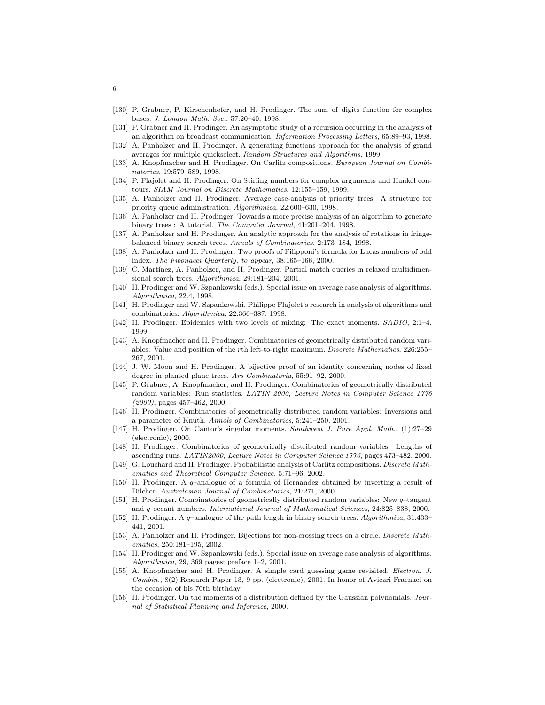- [130] P. Grabner, P. Kirschenhofer, and H. Prodinger. The sum–of–digits function for complex bases. J. London Math. Soc., 57:20–40, 1998.
- [131] P. Grabner and H. Prodinger. An asymptotic study of a recursion occurring in the analysis of an algorithm on broadcast communication. Information Processing Letters, 65:89–93, 1998.
- [132] A. Panholzer and H. Prodinger. A generating functions approach for the analysis of grand averages for multiple quickselect. Random Structures and Algorithms, 1999.
- [133] A. Knopfmacher and H. Prodinger. On Carlitz compositions. European Journal on Combinatorics, 19:579–589, 1998.
- [134] P. Flajolet and H. Prodinger. On Stirling numbers for complex arguments and Hankel contours. SIAM Journal on Discrete Mathematics, 12:155–159, 1999.
- [135] A. Panholzer and H. Prodinger. Average case-analysis of priority trees: A structure for priority queue administration. Algorithmica, 22:600–630, 1998.
- [136] A. Panholzer and H. Prodinger. Towards a more precise analysis of an algorithm to generate binary trees : A tutorial. The Computer Journal, 41:201–204, 1998.
- [137] A. Panholzer and H. Prodinger. An analytic approach for the analysis of rotations in fringebalanced binary search trees. Annals of Combinatorics, 2:173–184, 1998.
- [138] A. Panholzer and H. Prodinger. Two proofs of Filipponi's formula for Lucas numbers of odd index. The Fibonacci Quarterly, to appear, 38:165–166, 2000.
- [139] C. Martínez, A. Panholzer, and H. Prodinger. Partial match queries in relaxed multidimensional search trees. Algorithmica, 29:181–204, 2001.
- [140] H. Prodinger and W. Szpankowski (eds.). Special issue on average case analysis of algorithms. Algorithmica, 22.4, 1998.
- [141] H. Prodinger and W. Szpankowski. Philippe Flajolet's research in analysis of algorithms and combinatorics. Algorithmica, 22:366–387, 1998.
- [142] H. Prodinger. Epidemics with two levels of mixing: The exact moments. SADIO, 2:1–4, 1999.
- [143] A. Knopfmacher and H. Prodinger. Combinatorics of geometrically distributed random variables: Value and position of the rth left-to-right maximum. Discrete Mathematics, 226:255– 267, 2001.
- [144] J. W. Moon and H. Prodinger. A bijective proof of an identity concerning nodes of fixed degree in planted plane trees. Ars Combinatoria, 55:91–92, 2000.
- [145] P. Grabner, A. Knopfmacher, and H. Prodinger. Combinatorics of geometrically distributed random variables: Run statistics. LATIN 2000, Lecture Notes in Computer Science 1776  $(2000)$ , pages 457–462, 2000.
- [146] H. Prodinger. Combinatorics of geometrically distributed random variables: Inversions and a parameter of Knuth. Annals of Combinatorics, 5:241–250, 2001.
- [147] H. Prodinger. On Cantor's singular moments. Southwest J. Pure Appl. Math., (1):27–29 (electronic), 2000.
- [148] H. Prodinger. Combinatorics of geometrically distributed random variables: Lengths of ascending runs. LATIN2000, Lecture Notes in Computer Science 1776, pages 473–482, 2000.
- [149] G. Louchard and H. Prodinger. Probabilistic analysis of Carlitz compositions. Discrete Mathematics and Theoretical Computer Science, 5:71–96, 2002.
- [150] H. Prodinger. A q–analogue of a formula of Hernandez obtained by inverting a result of Dilcher. Australasian Journal of Combinatorics, 21:271, 2000.
- [151] H. Prodinger. Combinatorics of geometrically distributed random variables: New q–tangent and q–secant numbers. International Journal of Mathematical Sciences, 24:825–838, 2000.
- [152] H. Prodinger. A q–analogue of the path length in binary search trees. Algorithmica, 31:433– 441, 2001.
- [153] A. Panholzer and H. Prodinger. Bijections for non-crossing trees on a circle. Discrete Mathematics, 250:181–195, 2002.
- [154] H. Prodinger and W. Szpankowski (eds.). Special issue on average case analysis of algorithms. Algorithmica, 29, 369 pages; preface 1–2, 2001.
- [155] A. Knopfmacher and H. Prodinger. A simple card guessing game revisited. Electron. J. Combin., 8(2):Research Paper 13, 9 pp. (electronic), 2001. In honor of Aviezri Fraenkel on the occasion of his 70th birthday.
- [156] H. Prodinger. On the moments of a distribution defined by the Gaussian polynomials. Journal of Statistical Planning and Inference, 2000.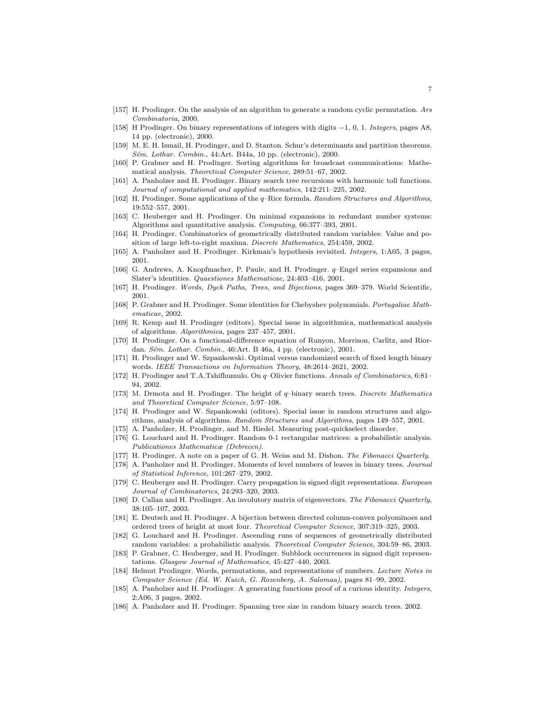- [157] H. Prodinger. On the analysis of an algorithm to generate a random cyclic permutation. Ars Combinatoria, 2000.
- [158] H Prodinger. On binary representations of integers with digits −1, 0, 1. Integers, pages A8, 14 pp. (electronic), 2000.
- [159] M. E. H. Ismail, H. Prodinger, and D. Stanton. Schur's determinants and partition theorems. Sém. Lothar. Combin., 44:Art. B44a, 10 pp. (electronic), 2000.
- [160] P. Grabner and H. Prodinger. Sorting algorithms for broadcast communications: Mathematical analysis. Theoretical Computer Science, 289:51–67, 2002.
- [161] A. Panholzer and H. Prodinger. Binary search tree recursions with harmonic toll functions. Journal of computational and applied mathematics, 142:211–225, 2002.
- [162] H. Prodinger. Some applications of the q–Rice formula. Random Structures and Algorithms, 19:552–557, 2001.
- [163] C. Heuberger and H. Prodinger. On minimal expansions in redundant number systems: Algorithms and quantitative analysis. Computing, 66:377–393, 2001.
- [164] H. Prodinger. Combinatorics of geometrically distributed random variables: Value and position of large left-to-right maxima. Discrete Mathematics, 254:459, 2002.
- [165] A. Panholzer and H. Prodinger. Kirkman's hypothesis revisited. Integers, 1:A05, 3 pages, 2001.
- [166] G. Andrews, A. Knopfmacher, P. Paule, and H. Prodinger. q–Engel series expansions and Slater's identities. Quaestiones Mathematicae, 24:403–416, 2001.
- [167] H. Prodinger. Words, Dyck Paths, Trees, and Bijections, pages 369–379. World Scientific, 2001.
- [168] P. Grabner and H. Prodinger. Some identities for Chebyshev polynomials. Portugaliae Mathematicae, 2002.
- [169] R. Kemp and H. Prodinger (editors). Special issue in algorithmica, mathematical analysis of algorithms. Algorithmica, pages 237–457, 2001.
- [170] H. Prodinger. On a functional-difference equation of Runyon, Morrison, Carlitz, and Riordan. Sém. Lothar. Combin., 46:Art. B 46a, 4 pp. (electronic), 2001.
- [171] H. Prodinger and W. Szpankowski. Optimal versus randomized search of fixed length binary words. IEEE Transactions on Information Theory, 48:2614–2621, 2002.
- [172] H. Prodinger and T.A.Tshifhumulo. On q–Olivier functions. Annals of Combinatorics, 6:81– 94, 2002.
- [173] M. Drmota and H. Prodinger. The height of q–binary search trees. Discrete Mathematics and Theoretical Computer Science, 5:97–108.
- [174] H. Prodinger and W. Szpankowski (editors). Special issue in random structures and algorithms, analysis of algorithms. Random Structures and Algorithms, pages 149–557, 2001.
- [175] A. Panholzer, H. Prodinger, and M. Riedel. Measuring post-quickselect disorder.
- [176] G. Louchard and H. Prodinger. Random 0-1 rectangular matrices: a probabilistic analysis. Publicationes Mathematicæ (Debrecen).
- [177] H. Prodinger. A note on a paper of G. H. Weiss and M. Dishon. The Fibonacci Quarterly.
- [178] A. Panholzer and H. Prodinger. Moments of level numbers of leaves in binary trees. Journal of Statistical Inference, 101:267–279, 2002.
- [179] C. Heuberger and H. Prodinger. Carry propagation in signed digit representations. European Journal of Combinatorics, 24:293–320, 2003.
- [180] D. Callan and H. Prodinger. An involutory matrix of eigenvectors. The Fibonacci Quarterly, 38:105–107, 2003.
- [181] E. Deutsch and H. Prodinger. A bijection between directed column-convex polyominoes and ordered trees of height at most four. Theoretical Computer Science, 307:319–325, 2003.
- [182] G. Louchard and H. Prodinger. Ascending runs of sequences of geometrically distributed random variables: a probabilistic analysis. Theoretical Computer Science, 304:59–86, 2003.
- [183] P. Grabner, C. Heuberger, and H. Prodinger. Subblock occurrences in signed digit representations. Glasgow Journal of Mathematics, 45:427–440, 2003.
- [184] Helmut Prodinger. Words, permutations, and representations of numbers. Lecture Notes in Computer Science (Ed. W. Kuich, G. Rozenberg, A. Salomaa), pages 81–99, 2002.
- [185] A. Panholzer and H. Prodinger. A generating functions proof of a curious identity. Integers, 2:A06, 3 pages, 2002.
- [186] A. Panholzer and H. Prodinger. Spanning tree size in random binary search trees. 2002.